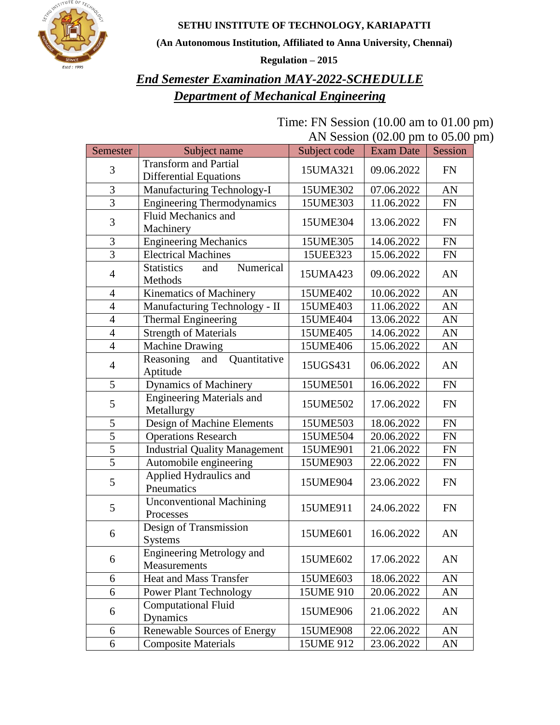

**SETHU INSTITUTE OF TECHNOLOGY, KARIAPATTI**

**(An Autonomous Institution, Affiliated to Anna University, Chennai)**

**Regulation – 2015**

#### *End Semester Examination MAY-2022-SCHEDULLE Department of Mechanical Engineering*

Time: FN Session (10.00 am to 01.00 pm) AN Session (02.00 pm to 05.00 pm)

| Semester                 | Subject name                                     | Subject code         | <b>Exam Date</b> | Session   |
|--------------------------|--------------------------------------------------|----------------------|------------------|-----------|
| 3                        | <b>Transform and Partial</b>                     |                      | 09.06.2022       | <b>FN</b> |
|                          | <b>Differential Equations</b>                    | 15UMA321<br>15UME302 |                  |           |
| 3                        | Manufacturing Technology-I                       |                      | 07.06.2022       | AN        |
| $\overline{3}$           | <b>Engineering Thermodynamics</b>                | 15UME303             | 11.06.2022       | <b>FN</b> |
| 3                        | Fluid Mechanics and                              | 15UME304             | 13.06.2022       | <b>FN</b> |
|                          | Machinery                                        |                      |                  |           |
| 3                        | <b>Engineering Mechanics</b>                     | 15UME305             | 14.06.2022       | <b>FN</b> |
| $\overline{3}$           | <b>Electrical Machines</b>                       | 15UEE323             | 15.06.2022       | FN        |
| $\overline{4}$           | <b>Statistics</b><br>Numerical<br>and<br>Methods | 15UMA423             | 09.06.2022       | AN        |
| $\overline{4}$           | Kinematics of Machinery                          | 15UME402             | 10.06.2022       | AN        |
| $\overline{4}$           | Manufacturing Technology - II                    | 15UME403             | 11.06.2022       | AN        |
| $\overline{4}$           | Thermal Engineering                              | 15UME404             | 13.06.2022       | AN        |
| $\overline{\mathcal{A}}$ | <b>Strength of Materials</b>                     | 15UME405             | 14.06.2022       | AN        |
| $\overline{4}$           | <b>Machine Drawing</b>                           | 15UME406             | 15.06.2022       | AN        |
| $\overline{4}$           | Reasoning<br>and<br>Quantitative<br>Aptitude     | 15UGS431             | 06.06.2022       | AN        |
| 5                        | <b>Dynamics of Machinery</b>                     | 15UME501             | 16.06.2022       | <b>FN</b> |
| 5                        | <b>Engineering Materials and</b><br>Metallurgy   | 15UME502             | 17.06.2022       | <b>FN</b> |
| 5                        | Design of Machine Elements                       | 15UME503             | 18.06.2022       | <b>FN</b> |
| $\overline{5}$           | <b>Operations Research</b>                       | 15UME504             | 20.06.2022       | <b>FN</b> |
| $\overline{5}$           | <b>Industrial Quality Management</b>             | 15UME901             | 21.06.2022       | <b>FN</b> |
| $\overline{5}$           | Automobile engineering                           | 15UME903             | 22.06.2022       | <b>FN</b> |
| 5                        | Applied Hydraulics and<br>Pneumatics             | 15UME904             | 23.06.2022       | <b>FN</b> |
| 5                        | <b>Unconventional Machining</b><br>Processes     | 15UME911             | 24.06.2022       | <b>FN</b> |
| 6                        | Design of Transmission<br><b>Systems</b>         | 15UME601             | 16.06.2022       | AN        |
| 6                        | <b>Engineering Metrology and</b><br>Measurements | 15UME602             | 17.06.2022       | AN        |
| 6                        | <b>Heat and Mass Transfer</b>                    | 15UME603             | 18.06.2022       | AN        |
| 6                        | <b>Power Plant Technology</b>                    | 15UME 910            | 20.06.2022       | AN        |
| 6                        | <b>Computational Fluid</b><br>Dynamics           | 15UME906             | 21.06.2022       | AN        |
| 6                        | Renewable Sources of Energy                      | 15UME908             | 22.06.2022       | AN        |
| 6                        | <b>Composite Materials</b>                       | 15UME 912            | 23.06.2022       | AN        |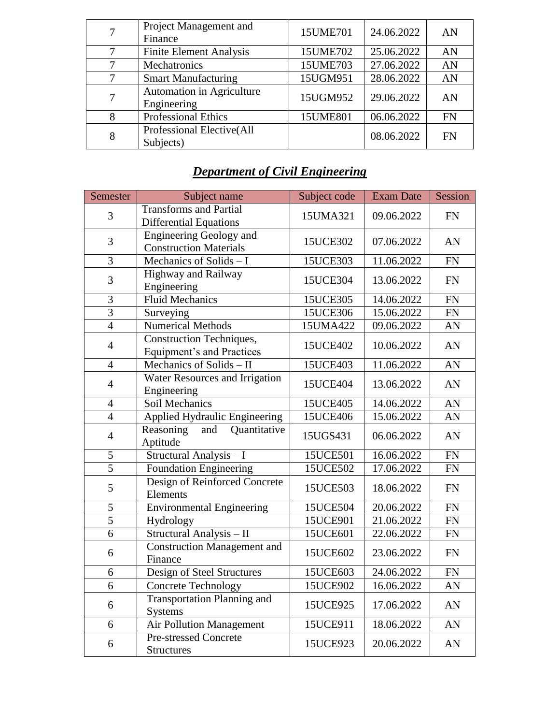|   | Project Management and<br>Finance        | 15UME701 | 24.06.2022 | AN        |
|---|------------------------------------------|----------|------------|-----------|
| 7 | <b>Finite Element Analysis</b>           | 15UME702 | 25.06.2022 | AN        |
|   | Mechatronics                             | 15UME703 | 27.06.2022 | AN        |
| 7 | <b>Smart Manufacturing</b>               | 15UGM951 | 28.06.2022 | AN        |
| 7 | Automation in Agriculture<br>Engineering | 15UGM952 | 29.06.2022 | AN        |
| 8 | <b>Professional Ethics</b>               | 15UME801 | 06.06.2022 | <b>FN</b> |
| 8 | Professional Elective(All<br>Subjects)   |          | 08.06.2022 | <b>FN</b> |

# *Department of Civil Engineering*

| Semester       | Subject name                                                    | Subject code | <b>Exam Date</b> | Session    |
|----------------|-----------------------------------------------------------------|--------------|------------------|------------|
| 3              | <b>Transforms and Partial</b><br><b>Differential Equations</b>  | 15UMA321     | 09.06.2022       | <b>FN</b>  |
| 3              | <b>Engineering Geology and</b><br><b>Construction Materials</b> | 15UCE302     | 07.06.2022       | AN         |
| 3              | Mechanics of Solids $- I$                                       | 15UCE303     | 11.06.2022       | <b>FN</b>  |
| 3              | Highway and Railway<br>Engineering                              | 15UCE304     | 13.06.2022       | <b>FN</b>  |
| 3              | <b>Fluid Mechanics</b>                                          | 15UCE305     | 14.06.2022       | FN         |
| $\overline{3}$ | Surveying                                                       | 15UCE306     | 15.06.2022       | ${\rm FN}$ |
| $\overline{4}$ | <b>Numerical Methods</b>                                        | 15UMA422     | 09.06.2022       | AN         |
| $\overline{4}$ | Construction Techniques,<br><b>Equipment's and Practices</b>    | 15UCE402     | 10.06.2022       | AN         |
| $\overline{4}$ | Mechanics of Solids - II                                        | 15UCE403     | 11.06.2022       | AN         |
| $\overline{4}$ | Water Resources and Irrigation<br>Engineering                   | 15UCE404     | 13.06.2022       | AN         |
| $\overline{4}$ | Soil Mechanics                                                  | 15UCE405     | 14.06.2022       | AN         |
| $\overline{4}$ | Applied Hydraulic Engineering                                   | 15UCE406     | 15.06.2022       | AN         |
| $\overline{4}$ | Reasoning<br>Quantitative<br>and<br>Aptitude                    | 15UGS431     | 06.06.2022       | AN         |
| $\overline{5}$ | Structural Analysis - I                                         | 15UCE501     | 16.06.2022       | ${\rm FN}$ |
| $\overline{5}$ | <b>Foundation Engineering</b>                                   | 15UCE502     | 17.06.2022       | ${\rm FN}$ |
| 5              | Design of Reinforced Concrete<br>Elements                       | 15UCE503     | 18.06.2022       | <b>FN</b>  |
| $\mathfrak s$  | <b>Environmental Engineering</b>                                | 15UCE504     | 20.06.2022       | <b>FN</b>  |
| 5              | Hydrology                                                       | 15UCE901     | 21.06.2022       | <b>FN</b>  |
| $\overline{6}$ | Structural Analysis - II                                        | 15UCE601     | 22.06.2022       | ${\rm FN}$ |
| 6              | <b>Construction Management and</b><br>Finance                   | 15UCE602     | 23.06.2022       | <b>FN</b>  |
| 6              | Design of Steel Structures                                      | 15UCE603     | 24.06.2022       | FN         |
| 6              | <b>Concrete Technology</b>                                      | 15UCE902     | 16.06.2022       | AN         |
| 6              | <b>Transportation Planning and</b><br><b>Systems</b>            | 15UCE925     | 17.06.2022       | AN         |
| 6              | <b>Air Pollution Management</b>                                 | 15UCE911     | 18.06.2022       | AN         |
| 6              | <b>Pre-stressed Concrete</b><br><b>Structures</b>               | 15UCE923     | 20.06.2022       | AN         |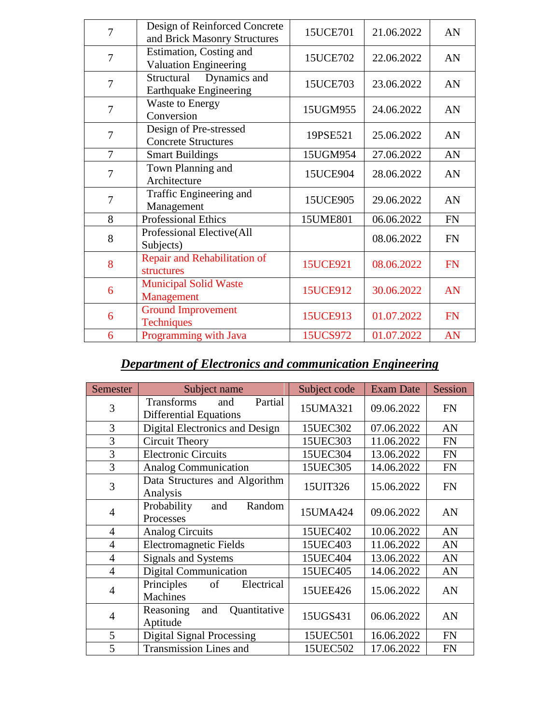| 7              | Design of Reinforced Concrete<br>and Brick Masonry Structures | 15UCE701        | 21.06.2022 | AN        |
|----------------|---------------------------------------------------------------|-----------------|------------|-----------|
| 7              | Estimation, Costing and<br>Valuation Engineering              | 15UCE702        | 22.06.2022 | AN        |
| 7              | Dynamics and<br>Structural<br><b>Earthquake Engineering</b>   | 15UCE703        | 23.06.2022 | AN        |
| $\overline{7}$ | <b>Waste to Energy</b><br>Conversion                          | 15UGM955        | 24.06.2022 | AN        |
| $\overline{7}$ | Design of Pre-stressed<br><b>Concrete Structures</b>          | 19PSE521        | 25.06.2022 | AN        |
| 7              | <b>Smart Buildings</b>                                        | 15UGM954        | 27.06.2022 | AN        |
| 7              | Town Planning and<br>Architecture                             | 15UCE904        | 28.06.2022 | AN        |
| 7              | Traffic Engineering and<br>Management                         | 15UCE905        | 29.06.2022 | AN        |
| 8              | <b>Professional Ethics</b>                                    | 15UME801        | 06.06.2022 | <b>FN</b> |
| 8              | Professional Elective(All<br>Subjects)                        |                 | 08.06.2022 | <b>FN</b> |
| 8              | Repair and Rehabilitation of<br>structures                    | <b>15UCE921</b> | 08.06.2022 | <b>FN</b> |
| 6              | <b>Municipal Solid Waste</b><br>Management                    | 15UCE912        | 30.06.2022 | AN        |
| 6              | <b>Ground Improvement</b><br><b>Techniques</b>                | 15UCE913        | 01.07.2022 | <b>FN</b> |
| 6              | Programming with Java                                         | 15UCS972        | 01.07.2022 | AN        |
|                |                                                               |                 |            |           |

# *Department of Electronics and communication Engineering*

| Semester       | Subject name                                                         | Subject code | <b>Exam Date</b> | Session   |
|----------------|----------------------------------------------------------------------|--------------|------------------|-----------|
| 3              | <b>Transforms</b><br>Partial<br>and<br><b>Differential Equations</b> | 15UMA321     | 09.06.2022       | <b>FN</b> |
| 3              | Digital Electronics and Design                                       | 15UEC302     | 07.06.2022       | AN        |
| 3              | Circuit Theory                                                       | 15UEC303     | 11.06.2022       | <b>FN</b> |
| 3              | <b>Electronic Circuits</b>                                           | 15UEC304     | 13.06.2022       | <b>FN</b> |
| 3              | <b>Analog Communication</b>                                          | 15UEC305     | 14.06.2022       | <b>FN</b> |
| 3              | Data Structures and Algorithm<br>Analysis                            | 15UIT326     | 15.06.2022       | <b>FN</b> |
| $\overline{4}$ | Probability<br>Random<br>and<br>Processes                            | 15UMA424     | 09.06.2022       | AN        |
| $\overline{4}$ | <b>Analog Circuits</b>                                               | 15UEC402     | 10.06.2022       | AN        |
| $\overline{4}$ | <b>Electromagnetic Fields</b>                                        | 15UEC403     | 11.06.2022       | AN        |
| $\overline{4}$ | Signals and Systems                                                  | 15UEC404     | 13.06.2022       | AN        |
| $\overline{4}$ | <b>Digital Communication</b>                                         | 15UEC405     | 14.06.2022       | AN        |
| $\overline{4}$ | Electrical<br>Principles<br>of<br><b>Machines</b>                    | 15UEE426     | 15.06.2022       | AN        |
| $\overline{4}$ | Quantitative<br>Reasoning<br>and<br>Aptitude                         | 15UGS431     | 06.06.2022       | AN        |
| 5              | <b>Digital Signal Processing</b>                                     | 15UEC501     | 16.06.2022       | <b>FN</b> |
| 5              | <b>Transmission Lines and</b>                                        | 15UEC502     | 17.06.2022       | <b>FN</b> |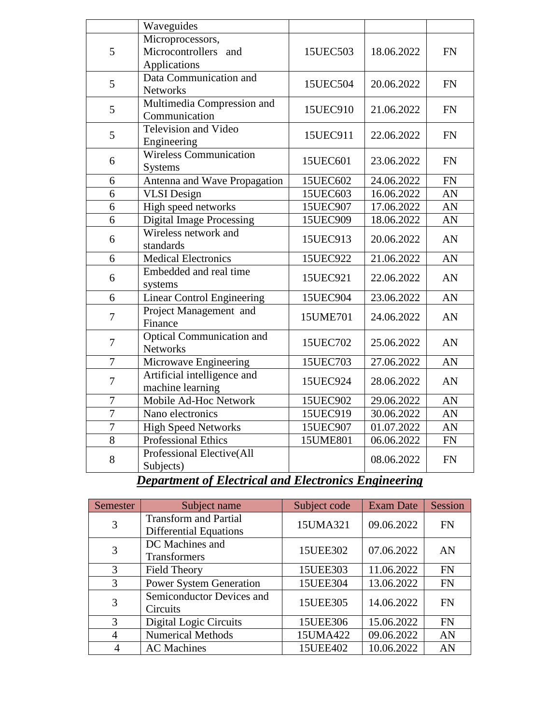|                | Waveguides                                               |          |            |            |
|----------------|----------------------------------------------------------|----------|------------|------------|
| 5              | Microprocessors,<br>Microcontrollers and<br>Applications | 15UEC503 | 18.06.2022 | <b>FN</b>  |
| 5              | Data Communication and<br><b>Networks</b>                | 15UEC504 | 20.06.2022 | <b>FN</b>  |
| 5              | Multimedia Compression and<br>Communication              | 15UEC910 | 21.06.2022 | <b>FN</b>  |
| 5              | <b>Television and Video</b><br>Engineering               | 15UEC911 | 22.06.2022 | <b>FN</b>  |
| 6              | <b>Wireless Communication</b><br><b>Systems</b>          | 15UEC601 | 23.06.2022 | <b>FN</b>  |
| 6              | Antenna and Wave Propagation                             | 15UEC602 | 24.06.2022 | <b>FN</b>  |
| 6              | <b>VLSI</b> Design                                       | 15UEC603 | 16.06.2022 | AN         |
| 6              | High speed networks                                      | 15UEC907 | 17.06.2022 | AN         |
| 6              | <b>Digital Image Processing</b>                          | 15UEC909 | 18.06.2022 | AN         |
| 6              | Wireless network and<br>standards                        | 15UEC913 | 20.06.2022 | AN         |
| 6              | <b>Medical Electronics</b>                               | 15UEC922 | 21.06.2022 | AN         |
| 6              | Embedded and real time<br>systems                        | 15UEC921 | 22.06.2022 | AN         |
| 6              | <b>Linear Control Engineering</b>                        | 15UEC904 | 23.06.2022 | AN         |
| 7              | Project Management and<br>Finance                        | 15UME701 | 24.06.2022 | AN         |
| $\overline{7}$ | <b>Optical Communication and</b><br><b>Networks</b>      | 15UEC702 | 25.06.2022 | AN         |
| $\overline{7}$ | Microwave Engineering                                    | 15UEC703 | 27.06.2022 | AN         |
| 7              | Artificial intelligence and<br>machine learning          | 15UEC924 | 28.06.2022 | AN         |
| $\overline{7}$ | Mobile Ad-Hoc Network                                    | 15UEC902 | 29.06.2022 | AN         |
| $\overline{7}$ | Nano electronics                                         | 15UEC919 | 30.06.2022 | AN         |
| $\overline{7}$ | <b>High Speed Networks</b>                               | 15UEC907 | 01.07.2022 | AN         |
| $\overline{8}$ | <b>Professional Ethics</b>                               | 15UME801 | 06.06.2022 | ${\rm FN}$ |
| 8              | Professional Elective(All<br>Subjects)                   |          | 08.06.2022 | <b>FN</b>  |

#### *Department of Electrical and Electronics Engineering*

| <b>Semester</b> | Subject name                                                  | Subject code | <b>Exam Date</b> | Session   |
|-----------------|---------------------------------------------------------------|--------------|------------------|-----------|
| 3               | <b>Transform and Partial</b><br><b>Differential Equations</b> | 15UMA321     | 09.06.2022       | <b>FN</b> |
| 3               | DC Machines and<br>Transformers                               | 15UEE302     | 07.06.2022       | AN        |
| 3               | <b>Field Theory</b>                                           | 15UEE303     | 11.06.2022       | <b>FN</b> |
| 3               | <b>Power System Generation</b>                                | 15UEE304     | 13.06.2022       | <b>FN</b> |
| 3               | Semiconductor Devices and<br>Circuits                         | 15UEE305     | 14.06.2022       | <b>FN</b> |
| 3               | Digital Logic Circuits                                        | 15UEE306     | 15.06.2022       | <b>FN</b> |
| 4               | <b>Numerical Methods</b>                                      | 15UMA422     | 09.06.2022       | AN        |
|                 | <b>AC</b> Machines                                            | 15UEE402     | 10.06.2022       | AN        |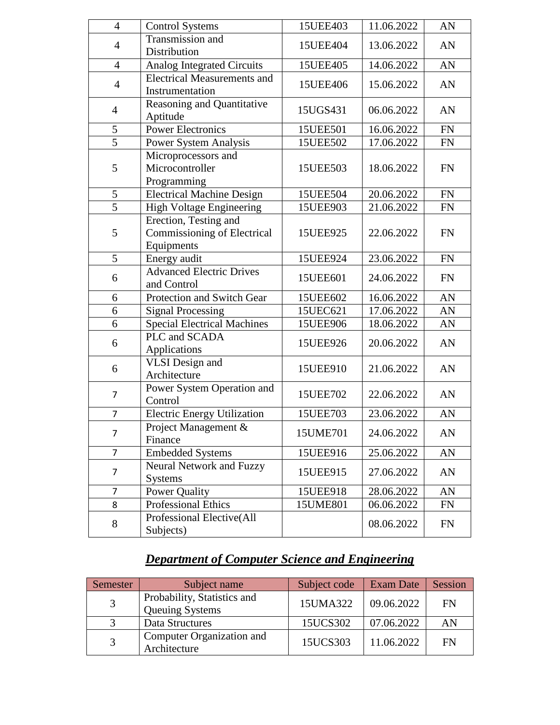| $\overline{4}$ | <b>Control Systems</b>             | 15UEE403 | 11.06.2022 | AN         |
|----------------|------------------------------------|----------|------------|------------|
| $\overline{4}$ | Transmission and                   | 15UEE404 | 13.06.2022 | AN         |
|                | Distribution                       |          |            |            |
| $\overline{4}$ | <b>Analog Integrated Circuits</b>  | 15UEE405 | 14.06.2022 | AN         |
| $\overline{4}$ | <b>Electrical Measurements and</b> | 15UEE406 | 15.06.2022 | AN         |
|                | Instrumentation                    |          |            |            |
| $\overline{4}$ | Reasoning and Quantitative         | 15UGS431 | 06.06.2022 | AN         |
|                | Aptitude                           |          |            |            |
| 5              | <b>Power Electronics</b>           | 15UEE501 | 16.06.2022 | FN         |
| $\overline{5}$ | Power System Analysis              | 15UEE502 | 17.06.2022 | ${\rm FN}$ |
|                | Microprocessors and                |          |            |            |
| 5              | Microcontroller                    | 15UEE503 | 18.06.2022 | FN         |
|                | Programming                        |          |            |            |
| 5              | <b>Electrical Machine Design</b>   | 15UEE504 | 20.06.2022 | ${\rm FN}$ |
| $\overline{5}$ | High Voltage Engineering           | 15UEE903 | 21.06.2022 | FN         |
|                | Erection, Testing and              |          |            |            |
| 5              | Commissioning of Electrical        | 15UEE925 | 22.06.2022 | FN         |
|                | Equipments                         |          |            |            |
| 5              | Energy audit                       | 15UEE924 | 23.06.2022 | <b>FN</b>  |
| 6              | <b>Advanced Electric Drives</b>    | 15UEE601 | 24.06.2022 | FN         |
|                | and Control                        |          |            |            |
| 6              | Protection and Switch Gear         | 15UEE602 | 16.06.2022 | AN         |
| 6              | <b>Signal Processing</b>           | 15UEC621 | 17.06.2022 | AN         |
| 6              | <b>Special Electrical Machines</b> | 15UEE906 | 18.06.2022 | AN         |
| 6              | PLC and SCADA                      | 15UEE926 | 20.06.2022 | AN         |
|                | Applications                       |          |            |            |
| 6              | <b>VLSI</b> Design and             | 15UEE910 | 21.06.2022 | AN         |
|                | Architecture                       |          |            |            |
| $\overline{7}$ | Power System Operation and         | 15UEE702 | 22.06.2022 | AN         |
|                | Control                            |          |            |            |
| $\overline{7}$ | <b>Electric Energy Utilization</b> | 15UEE703 | 23.06.2022 | AN         |
| 7              | Project Management &               | 15UME701 | 24.06.2022 | AN         |
|                | Finance                            |          |            |            |
| $\overline{7}$ | <b>Embedded Systems</b>            | 15UEE916 | 25.06.2022 | AN         |
| $\overline{7}$ | Neural Network and Fuzzy           | 15UEE915 | 27.06.2022 | AN         |
|                | <b>Systems</b>                     |          |            |            |
| $\overline{7}$ | Power Quality                      | 15UEE918 | 28.06.2022 | AN         |
| 8              | Professional Ethics                | 15UME801 | 06.06.2022 | FN         |
| 8              | Professional Elective(All          |          | 08.06.2022 | FN         |
|                | Subjects)                          |          |            |            |

# *Department of Computer Science and Engineering*

| Semester     | Subject name                                          | Subject code | Exam Date  | Session |
|--------------|-------------------------------------------------------|--------------|------------|---------|
| 3            | Probability, Statistics and<br><b>Queuing Systems</b> | 15UMA322     | 09.06.2022 | FN      |
| $\mathbf{z}$ | Data Structures                                       | 15UCS302     | 07.06.2022 | AN      |
| 3            | Computer Organization and<br>Architecture             | 15UCS303     | 11.06.2022 | FN      |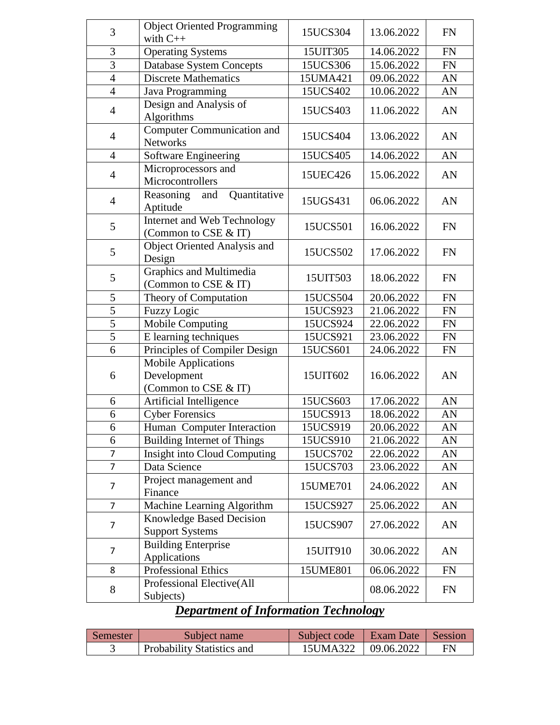| 3              | <b>Object Oriented Programming</b>                                | 15UCS304 | 13.06.2022 | <b>FN</b>  |
|----------------|-------------------------------------------------------------------|----------|------------|------------|
|                | with $C++$                                                        |          |            |            |
| 3              | <b>Operating Systems</b>                                          | 15UIT305 | 14.06.2022 | FN         |
| 3              | <b>Database System Concepts</b>                                   | 15UCS306 | 15.06.2022 | <b>FN</b>  |
| $\overline{4}$ | <b>Discrete Mathematics</b>                                       | 15UMA421 | 09.06.2022 | AN         |
| $\overline{4}$ | Java Programming                                                  | 15UCS402 | 10.06.2022 | AN         |
| $\overline{4}$ | Design and Analysis of<br>Algorithms                              | 15UCS403 | 11.06.2022 | AN         |
| $\overline{4}$ | <b>Computer Communication and</b><br><b>Networks</b>              | 15UCS404 | 13.06.2022 | AN         |
| $\overline{4}$ | Software Engineering                                              | 15UCS405 | 14.06.2022 | AN         |
| $\overline{4}$ | Microprocessors and<br>Microcontrollers                           | 15UEC426 | 15.06.2022 | AN         |
| $\overline{4}$ | Quantitative<br>Reasoning<br>and<br>Aptitude                      | 15UGS431 | 06.06.2022 | AN         |
| 5              | Internet and Web Technology<br>(Common to CSE & IT)               | 15UCS501 | 16.06.2022 | <b>FN</b>  |
| 5              | Object Oriented Analysis and<br>Design                            | 15UCS502 | 17.06.2022 | <b>FN</b>  |
| 5              | Graphics and Multimedia<br>(Common to CSE & IT)                   | 15UIT503 | 18.06.2022 | <b>FN</b>  |
| 5              | Theory of Computation                                             | 15UCS504 | 20.06.2022 | <b>FN</b>  |
| $\overline{5}$ | <b>Fuzzy Logic</b>                                                | 15UCS923 | 21.06.2022 | <b>FN</b>  |
| $\overline{5}$ | Mobile Computing                                                  | 15UCS924 | 22.06.2022 | ${\rm FN}$ |
| $\overline{5}$ | E learning techniques                                             | 15UCS921 | 23.06.2022 | <b>FN</b>  |
| 6              | Principles of Compiler Design                                     | 15UCS601 | 24.06.2022 | <b>FN</b>  |
| 6              | <b>Mobile Applications</b><br>Development<br>(Common to CSE & IT) | 15UIT602 | 16.06.2022 | AN         |
| 6              | Artificial Intelligence                                           | 15UCS603 | 17.06.2022 | AN         |
| 6              | <b>Cyber Forensics</b>                                            | 15UCS913 | 18.06.2022 | AN         |
| 6              | Human Computer Interaction                                        | 15UCS919 | 20.06.2022 | AN         |
| 6              | Building Internet of Things                                       | 15UCS910 | 21.06.2022 | AN         |
| 7              | Insight into Cloud Computing                                      | 15UCS702 | 22.06.2022 | AN         |
| $\overline{7}$ | Data Science                                                      | 15UCS703 | 23.06.2022 | AN         |
| 7              | Project management and<br>Finance                                 | 15UME701 | 24.06.2022 | AN         |
| $\overline{7}$ | Machine Learning Algorithm                                        | 15UCS927 | 25.06.2022 | AN         |
| 7              | Knowledge Based Decision<br><b>Support Systems</b>                | 15UCS907 | 27.06.2022 | AN         |
| $\overline{7}$ | <b>Building Enterprise</b><br>Applications                        | 15UIT910 | 30.06.2022 | AN         |
| 8              | Professional Ethics                                               | 15UME801 | 06.06.2022 | <b>FN</b>  |
| 8              | Professional Elective(All<br>Subjects)                            |          | 08.06.2022 | <b>FN</b>  |
|                | Departue ant of Information Technology                            |          |            |            |

#### *Department of Information Technology*

| Semester | Subject name               | Subject code   Exam Date   Session |    |
|----------|----------------------------|------------------------------------|----|
|          | Probability Statistics and | 15UMA322   09.06.2022              | FN |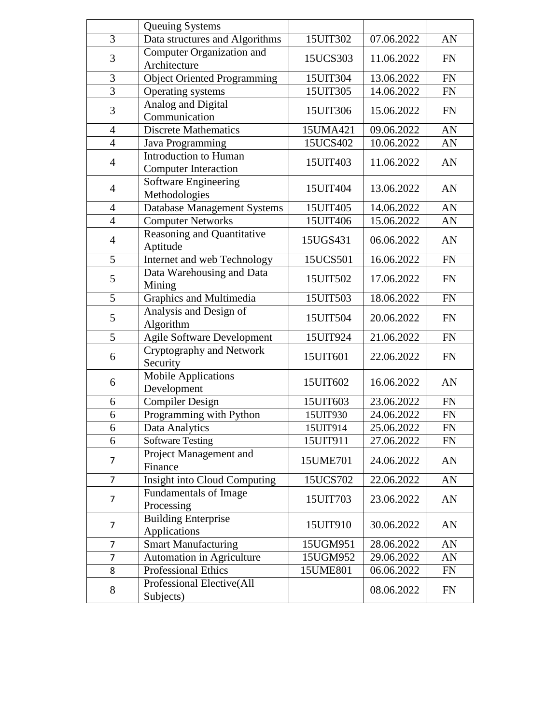|                | Queuing Systems                                      |          |            |           |
|----------------|------------------------------------------------------|----------|------------|-----------|
| $\overline{3}$ | Data structures and Algorithms                       | 15UIT302 | 07.06.2022 | AN        |
| 3              | Computer Organization and<br>Architecture            | 15UCS303 | 11.06.2022 | <b>FN</b> |
| 3              | <b>Object Oriented Programming</b>                   | 15UIT304 | 13.06.2022 | <b>FN</b> |
| $\overline{3}$ | Operating systems                                    | 15UIT305 | 14.06.2022 | <b>FN</b> |
| 3              | Analog and Digital<br>Communication                  | 15UIT306 | 15.06.2022 | <b>FN</b> |
| $\overline{4}$ | <b>Discrete Mathematics</b>                          | 15UMA421 | 09.06.2022 | AN        |
| $\overline{4}$ | Java Programming                                     | 15UCS402 | 10.06.2022 | AN        |
| $\overline{4}$ | Introduction to Human<br><b>Computer Interaction</b> | 15UIT403 | 11.06.2022 | AN        |
| $\overline{4}$ | Software Engineering<br>Methodologies                | 15UIT404 | 13.06.2022 | AN        |
| 4              | Database Management Systems                          | 15UIT405 | 14.06.2022 | AN        |
| $\overline{4}$ | <b>Computer Networks</b>                             | 15UIT406 | 15.06.2022 | AN        |
| $\overline{4}$ | Reasoning and Quantitative<br>Aptitude               | 15UGS431 | 06.06.2022 | AN        |
| 5              | Internet and web Technology                          | 15UCS501 | 16.06.2022 | <b>FN</b> |
| 5              | Data Warehousing and Data<br>Mining                  | 15UIT502 | 17.06.2022 | <b>FN</b> |
| 5              | Graphics and Multimedia                              | 15UIT503 | 18.06.2022 | <b>FN</b> |
| 5              | Analysis and Design of<br>Algorithm                  | 15UIT504 | 20.06.2022 | <b>FN</b> |
| 5              | <b>Agile Software Development</b>                    | 15UIT924 | 21.06.2022 | <b>FN</b> |
| 6              | Cryptography and Network<br>Security                 | 15UIT601 | 22.06.2022 | <b>FN</b> |
| 6              | <b>Mobile Applications</b><br>Development            | 15UIT602 | 16.06.2022 | AN        |
| 6              | Compiler Design                                      | 15UIT603 | 23.06.2022 | <b>FN</b> |
| 6              | Programming with Python                              | 15UIT930 | 24.06.2022 | <b>FN</b> |
| 6              | Data Analytics                                       | 15UIT914 | 25.06.2022 | FN        |
| 6              | <b>Software Testing</b>                              | 15UIT911 | 27.06.2022 | <b>FN</b> |
| $\overline{7}$ | Project Management and<br>Finance                    | 15UME701 | 24.06.2022 | AN        |
| $\overline{7}$ | <b>Insight into Cloud Computing</b>                  | 15UCS702 | 22.06.2022 | AN        |
| $\overline{7}$ | Fundamentals of Image<br>Processing                  | 15UIT703 | 23.06.2022 | AN        |
| 7              | <b>Building Enterprise</b><br>Applications           | 15UIT910 | 30.06.2022 | AN        |
| 7              | <b>Smart Manufacturing</b>                           | 15UGM951 | 28.06.2022 | AN        |
| 7              | Automation in Agriculture                            | 15UGM952 | 29.06.2022 | AN        |
| 8              | Professional Ethics                                  | 15UME801 | 06.06.2022 | <b>FN</b> |
| 8              | Professional Elective(All<br>Subjects)               |          | 08.06.2022 | <b>FN</b> |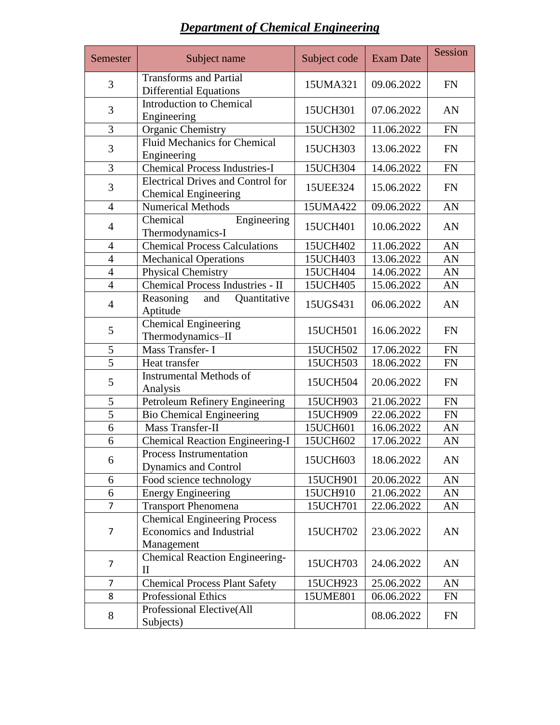| <b>Department of Chemical Engineering</b> |
|-------------------------------------------|
|-------------------------------------------|

| Semester                                               | Subject name                                                                  | Subject code | <b>Exam Date</b> | Session   |
|--------------------------------------------------------|-------------------------------------------------------------------------------|--------------|------------------|-----------|
| 3                                                      | <b>Transforms and Partial</b><br><b>Differential Equations</b>                | 15UMA321     | 09.06.2022       | <b>FN</b> |
| 3                                                      | <b>Introduction to Chemical</b><br>Engineering                                | 15UCH301     | 07.06.2022       | AN        |
| 3                                                      | Organic Chemistry                                                             | 15UCH302     | 11.06.2022       | <b>FN</b> |
| 3                                                      | <b>Fluid Mechanics for Chemical</b><br>Engineering                            | 15UCH303     | 13.06.2022       | <b>FN</b> |
| 3                                                      | <b>Chemical Process Industries-I</b>                                          | 15UCH304     | 14.06.2022       | <b>FN</b> |
| $\mathfrak{Z}$                                         | <b>Electrical Drives and Control for</b><br><b>Chemical Engineering</b>       | 15UEE324     | 15.06.2022       | FN        |
| $\overline{4}$                                         | <b>Numerical Methods</b>                                                      | 15UMA422     | 09.06.2022       | AN        |
| $\overline{4}$                                         | Chemical<br>Engineering<br>Thermodynamics-I                                   |              | 10.06.2022       | AN        |
| <b>Chemical Process Calculations</b><br>$\overline{4}$ |                                                                               | 15UCH402     | 11.06.2022       | AN        |
| $\overline{4}$                                         | <b>Mechanical Operations</b>                                                  | 15UCH403     | 13.06.2022       | AN        |
| $\overline{4}$                                         | Physical Chemistry                                                            | 15UCH404     | 14.06.2022       | AN        |
| $\overline{4}$                                         | Chemical Process Industries - II                                              | 15UCH405     | 15.06.2022       | AN        |
| $\overline{4}$                                         | Reasoning<br>Quantitative<br>and<br>Aptitude                                  | 15UGS431     | 06.06.2022       | AN        |
| 5                                                      | <b>Chemical Engineering</b><br>Thermodynamics-II                              | 15UCH501     | 16.06.2022       | <b>FN</b> |
| 5                                                      | Mass Transfer- I                                                              | 15UCH502     | 17.06.2022       | <b>FN</b> |
| $\overline{5}$                                         | Heat transfer                                                                 | 15UCH503     | 18.06.2022       | <b>FN</b> |
| 5                                                      | <b>Instrumental Methods of</b><br>Analysis                                    | 15UCH504     | 20.06.2022       | <b>FN</b> |
| 5                                                      | Petroleum Refinery Engineering                                                | 15UCH903     | 21.06.2022       | <b>FN</b> |
| 5                                                      | <b>Bio Chemical Engineering</b>                                               | 15UCH909     | 22.06.2022       | <b>FN</b> |
| 6                                                      | Mass Transfer-II                                                              | 15UCH601     | 16.06.2022       | AN        |
| 6                                                      | <b>Chemical Reaction Engineering-I</b>                                        | 15UCH602     | 17.06.2022       | AN        |
| 6                                                      | Process Instrumentation<br><b>Dynamics and Control</b>                        | 15UCH603     | 18.06.2022       | AN        |
| 6                                                      | Food science technology                                                       | 15UCH901     | 20.06.2022       | AN        |
| 6                                                      | <b>Energy Engineering</b>                                                     | 15UCH910     | 21.06.2022       | AN        |
| $\overline{7}$                                         | <b>Transport Phenomena</b>                                                    | 15UCH701     | 22.06.2022       | AN        |
| 7                                                      | <b>Chemical Engineering Process</b><br>Economics and Industrial<br>Management | 15UCH702     | 23.06.2022       | AN        |
| $\overline{7}$                                         | <b>Chemical Reaction Engineering-</b><br>$\mathbf{I}$                         | 15UCH703     | 24.06.2022       | AN        |
| $\overline{7}$                                         | <b>Chemical Process Plant Safety</b>                                          | 15UCH923     | 25.06.2022       | AN        |
| 8                                                      | <b>Professional Ethics</b>                                                    | 15UME801     | 06.06.2022       | <b>FN</b> |
| 8                                                      | Professional Elective(All<br>Subjects)                                        |              | 08.06.2022       | <b>FN</b> |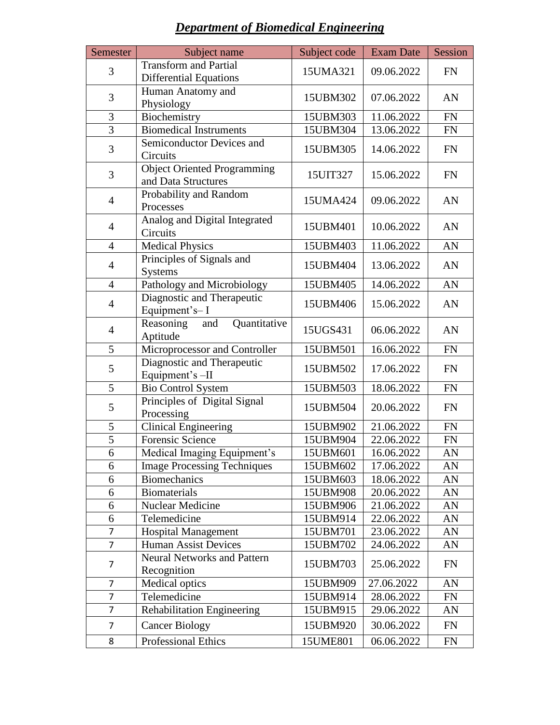# *Department of Biomedical Engineering*

| Semester                        | Subject name                                 | Subject code           | <b>Exam Date</b> | Session    |
|---------------------------------|----------------------------------------------|------------------------|------------------|------------|
| 3                               | <b>Transform and Partial</b>                 | 09.06.2022<br>15UMA321 |                  | <b>FN</b>  |
|                                 | <b>Differential Equations</b>                |                        |                  |            |
| 3                               | Human Anatomy and                            | 15UBM302               | 07.06.2022       | AN         |
|                                 | Physiology                                   |                        |                  |            |
| 3                               | Biochemistry                                 | 15UBM303               | 11.06.2022       | FN         |
| 3                               | <b>Biomedical Instruments</b>                | 15UBM304               | 13.06.2022       | ${\rm FN}$ |
| 3                               | Semiconductor Devices and                    | 15UBM305               | 14.06.2022       | <b>FN</b>  |
|                                 | Circuits                                     |                        |                  |            |
| 3                               | <b>Object Oriented Programming</b>           | 15UIT327               | 15.06.2022       | <b>FN</b>  |
|                                 | and Data Structures                          |                        |                  |            |
| $\overline{4}$                  | Probability and Random                       | 15UMA424               | 09.06.2022       | AN         |
|                                 | Processes                                    |                        |                  |            |
| $\overline{4}$                  | Analog and Digital Integrated                | 15UBM401               | 10.06.2022       | AN         |
|                                 | Circuits                                     |                        |                  |            |
| $\overline{4}$                  | <b>Medical Physics</b>                       | 15UBM403               | 11.06.2022       | AN         |
| $\overline{4}$                  | Principles of Signals and                    | 15UBM404               | 13.06.2022       | AN         |
|                                 | <b>Systems</b>                               |                        |                  |            |
| $\overline{4}$                  | Pathology and Microbiology                   | 15UBM405               | 14.06.2022       | AN         |
| $\overline{4}$                  | Diagnostic and Therapeutic<br>15UBM406       |                        | 15.06.2022       | AN         |
|                                 | Equipment's-I                                |                        |                  |            |
| $\overline{4}$                  | Reasoning<br>Quantitative<br>and             | 15UGS431               | 06.06.2022       | AN         |
|                                 | Aptitude                                     |                        |                  |            |
| 5                               | Microprocessor and Controller                | 15UBM501               | 16.06.2022       | <b>FN</b>  |
| 5                               | Diagnostic and Therapeutic                   | 15UBM502               | 17.06.2022       | <b>FN</b>  |
| 5                               | Equipment's -II<br><b>Bio Control System</b> | 15UBM503               | 18.06.2022       | FN         |
|                                 | Principles of Digital Signal                 |                        |                  |            |
| 5                               | Processing                                   | 15UBM504               | 20.06.2022       | FN         |
| 5                               | <b>Clinical Engineering</b>                  | 15UBM902               | 21.06.2022       | FN         |
| 5                               | Forensic Science                             | 15UBM904               | 22.06.2022       | <b>FN</b>  |
| 6                               | Medical Imaging Equipment's                  | 15UBM601               | 16.06.2022       | AN         |
| 6                               | <b>Image Processing Techniques</b>           | 15UBM602               | 17.06.2022       | AN         |
| 6                               | <b>Biomechanics</b>                          | 15UBM603               | 18.06.2022       | AN         |
| 6                               | <b>Biomaterials</b>                          | 15UBM908               | 20.06.2022       | AN         |
| 6                               | Nuclear Medicine                             | 15UBM906               | 21.06.2022       | AN         |
| 6                               | Telemedicine                                 | 15UBM914               | 22.06.2022       | AN         |
| $\overline{7}$                  | <b>Hospital Management</b>                   | 15UBM701               | 23.06.2022       | AN         |
| $\overline{7}$                  | <b>Human Assist Devices</b>                  | 15UBM702               | 24.06.2022       | AN         |
|                                 | <b>Neural Networks and Pattern</b>           |                        |                  |            |
| 7                               | Recognition                                  | 15UBM703               | 25.06.2022       | <b>FN</b>  |
| 7                               | Medical optics                               | 15UBM909               | 27.06.2022       | AN         |
| 7                               | Telemedicine                                 | 15UBM914               | 28.06.2022       | FN         |
| 7                               | <b>Rehabilitation Engineering</b>            | 15UBM915               | 29.06.2022       | AN         |
| $\overline{7}$                  | <b>Cancer Biology</b>                        | 15UBM920               | 30.06.2022       | FN         |
|                                 |                                              |                        |                  |            |
| <b>Professional Ethics</b><br>8 |                                              | 15UME801               | 06.06.2022       | FN         |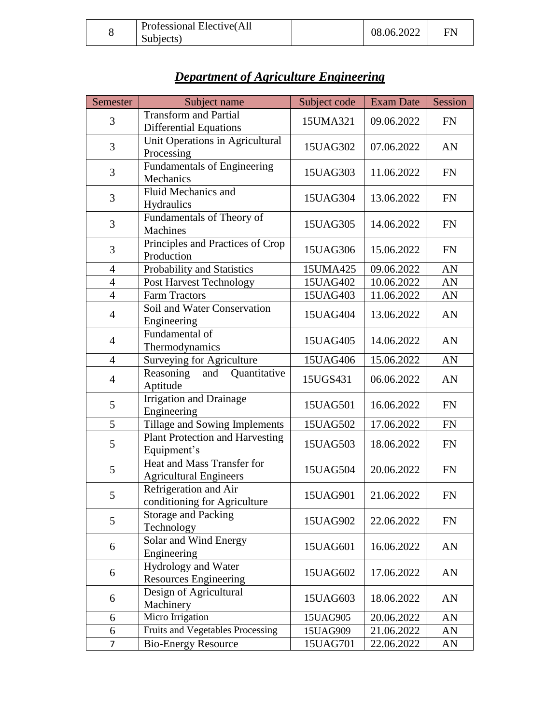| 08.06.2022<br>Subjects) |
|-------------------------|
|-------------------------|

| Semester       | Subject name                                                  | Subject code | <b>Exam Date</b> | Session   |
|----------------|---------------------------------------------------------------|--------------|------------------|-----------|
| 3              | <b>Transform and Partial</b><br><b>Differential Equations</b> | 15UMA321     | 09.06.2022       | <b>FN</b> |
| 3              | Unit Operations in Agricultural<br>Processing                 | 15UAG302     | 07.06.2022       | AN        |
| 3              | Fundamentals of Engineering<br>Mechanics                      | 15UAG303     | 11.06.2022       | <b>FN</b> |
| 3              | Fluid Mechanics and<br>Hydraulics                             | 15UAG304     | 13.06.2022       | <b>FN</b> |
| 3              | Fundamentals of Theory of<br>Machines                         | 15UAG305     | 14.06.2022       | <b>FN</b> |
| 3              | Principles and Practices of Crop<br>Production                | 15UAG306     | 15.06.2022       | <b>FN</b> |
| $\overline{4}$ | Probability and Statistics                                    | 15UMA425     | 09.06.2022       | AN        |
| $\overline{4}$ | <b>Post Harvest Technology</b>                                | 15UAG402     | 10.06.2022       | AN        |
| $\overline{4}$ | <b>Farm Tractors</b>                                          | 15UAG403     | 11.06.2022       | AN        |
| $\overline{4}$ | Soil and Water Conservation<br>Engineering                    | 15UAG404     | 13.06.2022       | AN        |
| $\overline{4}$ | Fundamental of<br>Thermodynamics                              | 15UAG405     | 14.06.2022       | AN        |
| $\overline{4}$ | <b>Surveying for Agriculture</b>                              | 15UAG406     | 15.06.2022       | AN        |
| $\overline{4}$ | Reasoning<br>Quantitative<br>and<br>Aptitude                  | 15UGS431     | 06.06.2022       | AN        |
| 5              | <b>Irrigation and Drainage</b><br>Engineering                 | 15UAG501     | 16.06.2022       | <b>FN</b> |
| 5              | Tillage and Sowing Implements                                 | 15UAG502     | 17.06.2022       | <b>FN</b> |
| 5              | Plant Protection and Harvesting<br>Equipment's                | 15UAG503     | 18.06.2022       | <b>FN</b> |
| 5              | Heat and Mass Transfer for<br><b>Agricultural Engineers</b>   | 15UAG504     | 20.06.2022       | <b>FN</b> |
| 5              | Refrigeration and Air<br>conditioning for Agriculture         | 15UAG901     | 21.06.2022       | <b>FN</b> |
| 5              | <b>Storage and Packing</b><br>Technology                      | 15UAG902     | 22.06.2022       | <b>FN</b> |
| 6              | Solar and Wind Energy<br>Engineering                          | 15UAG601     | 16.06.2022       | AN        |
| 6              | <b>Hydrology and Water</b><br><b>Resources Engineering</b>    | 15UAG602     | 17.06.2022       | AN        |
| 6              | Design of Agricultural<br>Machinery                           | 15UAG603     | 18.06.2022       | AN        |
| 6              | Micro Irrigation                                              | 15UAG905     | 20.06.2022       | AN        |
| 6              | Fruits and Vegetables Processing                              | 15UAG909     | 21.06.2022       | AN        |
| $\overline{7}$ | <b>Bio-Energy Resource</b>                                    | 15UAG701     | 22.06.2022       | AN        |

# *Department of Agriculture Engineering*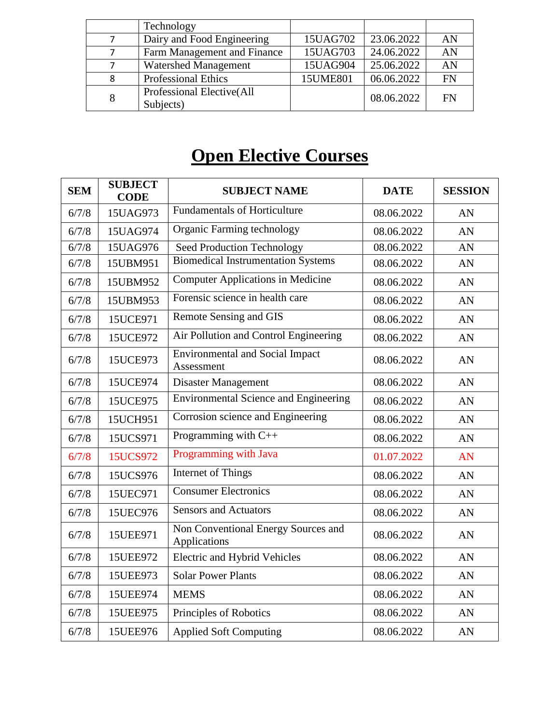|                             | Technology                              |          |            |           |
|-----------------------------|-----------------------------------------|----------|------------|-----------|
|                             | Dairy and Food Engineering              | 15UAG702 | 23.06.2022 | AN        |
| Farm Management and Finance |                                         | 15UAG703 | 24.06.2022 | AN        |
|                             | <b>Watershed Management</b>             | 15UAG904 | 25.06.2022 | AN        |
| 8                           | <b>Professional Ethics</b>              | 15UME801 | 06.06.2022 | <b>FN</b> |
| 8                           | Professional Elective (All<br>Subjects) |          | 08.06.2022 | FN        |

# **Open Elective Courses**

| <b>SEM</b> | <b>SUBJECT</b><br><b>CODE</b> | <b>SUBJECT NAME</b>                                  | <b>DATE</b> | <b>SESSION</b> |
|------------|-------------------------------|------------------------------------------------------|-------------|----------------|
| 6/7/8      | 15UAG973                      | <b>Fundamentals of Horticulture</b>                  | 08.06.2022  | AN             |
| 6/7/8      | 15UAG974                      | Organic Farming technology                           | 08.06.2022  | AN             |
| 6/7/8      | 15UAG976                      | Seed Production Technology                           | 08.06.2022  | AN             |
| 6/7/8      | 15UBM951                      | <b>Biomedical Instrumentation Systems</b>            | 08.06.2022  | AN             |
| 6/7/8      | 15UBM952                      | <b>Computer Applications in Medicine</b>             | 08.06.2022  | AN             |
| 6/7/8      | 15UBM953                      | Forensic science in health care                      | 08.06.2022  | AN             |
| 6/7/8      | 15UCE971                      | <b>Remote Sensing and GIS</b>                        | 08.06.2022  | AN             |
| 6/7/8      | 15UCE972                      | Air Pollution and Control Engineering                | 08.06.2022  | AN             |
| 6/7/8      | 15UCE973                      | <b>Environmental and Social Impact</b><br>Assessment | 08.06.2022  | AN             |
| 6/7/8      | 15UCE974                      | <b>Disaster Management</b>                           | 08.06.2022  | AN             |
| 6/7/8      | 15UCE975                      | <b>Environmental Science and Engineering</b>         | 08.06.2022  | AN             |
| 6/7/8      | 15UCH951                      | Corrosion science and Engineering                    | 08.06.2022  | AN             |
| 6/7/8      | 15UCS971                      | Programming with $C++$                               | 08.06.2022  | AN             |
| 6/7/8      | 15UCS972                      | Programming with Java                                | 01.07.2022  | AN             |
| 6/7/8      | 15UCS976                      | Internet of Things                                   | 08.06.2022  | AN             |
| 6/7/8      | 15UEC971                      | <b>Consumer Electronics</b>                          | 08.06.2022  | AN             |
| 6/7/8      | 15UEC976                      | <b>Sensors and Actuators</b>                         | 08.06.2022  | AN             |
| 6/7/8      | 15UEE971                      | Non Conventional Energy Sources and<br>Applications  | 08.06.2022  | AN             |
| 6/7/8      | 15UEE972                      | <b>Electric and Hybrid Vehicles</b>                  | 08.06.2022  | AN             |
| 6/7/8      | 15UEE973                      | <b>Solar Power Plants</b>                            | 08.06.2022  | AN             |
| 6/7/8      | 15UEE974                      | <b>MEMS</b>                                          | 08.06.2022  | AN             |
| 6/7/8      | 15UEE975                      | Principles of Robotics                               | 08.06.2022  | AN             |
| 6/7/8      | 15UEE976                      | <b>Applied Soft Computing</b>                        | 08.06.2022  | AN             |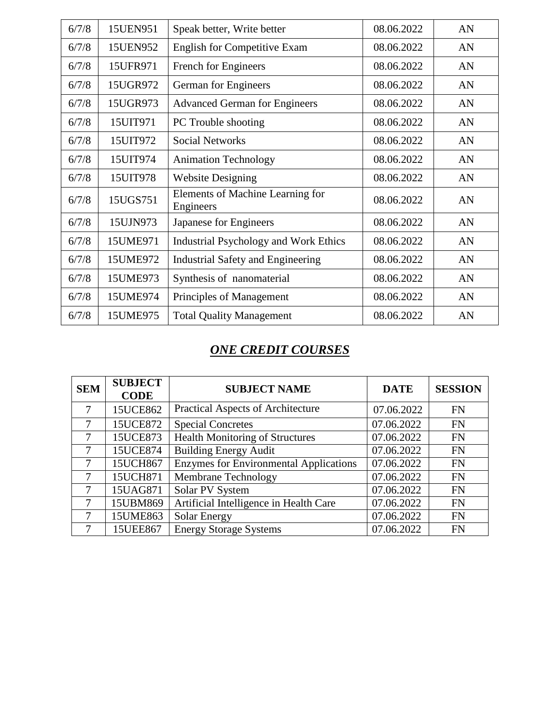| 6/7/8 | 15UEN951 | Speak better, Write better                    | 08.06.2022 | AN |
|-------|----------|-----------------------------------------------|------------|----|
| 6/7/8 | 15UEN952 | <b>English for Competitive Exam</b>           | 08.06.2022 | AN |
| 6/7/8 | 15UFR971 | French for Engineers                          | 08.06.2022 | AN |
| 6/7/8 | 15UGR972 | German for Engineers                          | 08.06.2022 | AN |
| 6/7/8 | 15UGR973 | <b>Advanced German for Engineers</b>          | 08.06.2022 | AN |
| 6/7/8 | 15UIT971 | PC Trouble shooting                           | 08.06.2022 | AN |
| 6/7/8 | 15UIT972 | <b>Social Networks</b>                        | 08.06.2022 | AN |
| 6/7/8 | 15UIT974 | <b>Animation Technology</b>                   | 08.06.2022 | AN |
| 6/7/8 | 15UIT978 | <b>Website Designing</b>                      | 08.06.2022 | AN |
| 6/7/8 | 15UGS751 | Elements of Machine Learning for<br>Engineers | 08.06.2022 | AN |
| 6/7/8 | 15UJN973 | Japanese for Engineers                        | 08.06.2022 | AN |
| 6/7/8 | 15UME971 | Industrial Psychology and Work Ethics         | 08.06.2022 | AN |
| 6/7/8 | 15UME972 | <b>Industrial Safety and Engineering</b>      | 08.06.2022 | AN |
| 6/7/8 | 15UME973 | Synthesis of nanomaterial                     | 08.06.2022 | AN |
| 6/7/8 | 15UME974 | Principles of Management                      | 08.06.2022 | AN |
| 6/7/8 | 15UME975 | <b>Total Quality Management</b>               | 08.06.2022 | AN |

#### *ONE CREDIT COURSES*

| <b>SEM</b> | <b>SUBJECT</b><br><b>CODE</b> | <b>SUBJECT NAME</b>                           | <b>DATE</b> | <b>SESSION</b> |
|------------|-------------------------------|-----------------------------------------------|-------------|----------------|
|            | 15UCE862                      | <b>Practical Aspects of Architecture</b>      | 07.06.2022  | <b>FN</b>      |
| 7          | 15UCE872                      | <b>Special Concretes</b>                      | 07.06.2022  | <b>FN</b>      |
| 7          | 15UCE873                      | <b>Health Monitoring of Structures</b>        | 07.06.2022  | <b>FN</b>      |
| 7          | 15UCE874                      | <b>Building Energy Audit</b>                  | 07.06.2022  | <b>FN</b>      |
| $\tau$     | 15UCH867                      | <b>Enzymes for Environmental Applications</b> | 07.06.2022  | <b>FN</b>      |
| 7          | 15UCH871                      | <b>Membrane Technology</b>                    | 07.06.2022  | <b>FN</b>      |
| 7          | 15UAG871                      | Solar PV System                               | 07.06.2022  | <b>FN</b>      |
| 7          | 15UBM869                      | Artificial Intelligence in Health Care        | 07.06.2022  | <b>FN</b>      |
|            | 15UME863                      | <b>Solar Energy</b>                           | 07.06.2022  | <b>FN</b>      |
|            | 15UEE867                      | <b>Energy Storage Systems</b>                 | 07.06.2022  | <b>FN</b>      |